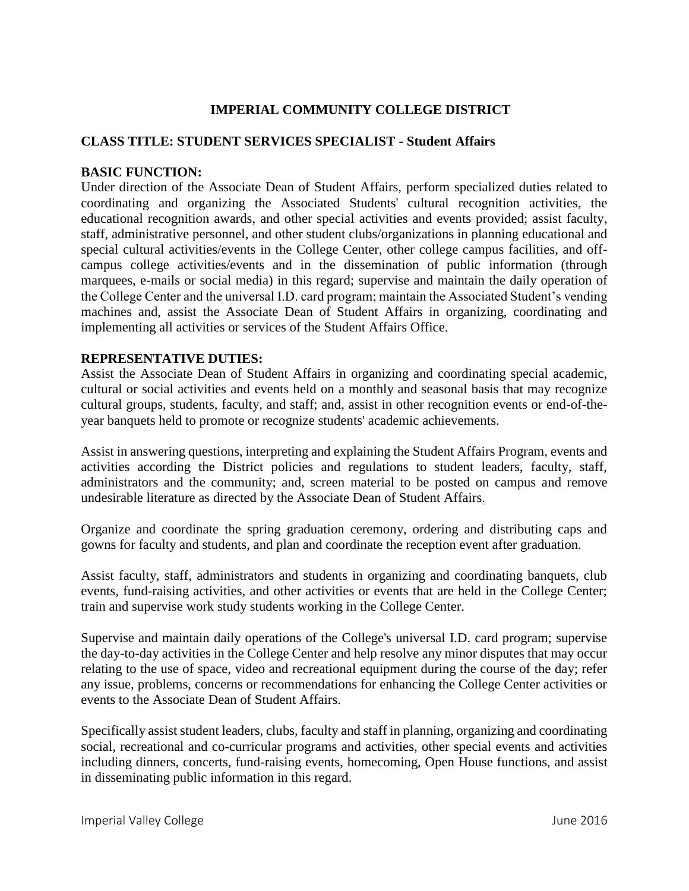# **IMPERIAL COMMUNITY COLLEGE DISTRICT**

#### **CLASS TITLE: STUDENT SERVICES SPECIALIST - Student Affairs**

#### **BASIC FUNCTION:**

Under direction of the Associate Dean of Student Affairs, perform specialized duties related to coordinating and organizing the Associated Students' cultural recognition activities, the educational recognition awards, and other special activities and events provided; assist faculty, staff, administrative personnel, and other student clubs/organizations in planning educational and special cultural activities/events in the College Center, other college campus facilities, and offcampus college activities/events and in the dissemination of public information (through marquees, e-mails or social media) in this regard; supervise and maintain the daily operation of the College Center and the universal I.D. card program; maintain the Associated Student's vending machines and, assist the Associate Dean of Student Affairs in organizing, coordinating and implementing all activities or services of the Student Affairs Office.

#### **REPRESENTATIVE DUTIES:**

Assist the Associate Dean of Student Affairs in organizing and coordinating special academic, cultural or social activities and events held on a monthly and seasonal basis that may recognize cultural groups, students, faculty, and staff; and, assist in other recognition events or end-of-theyear banquets held to promote or recognize students' academic achievements.

Assist in answering questions, interpreting and explaining the Student Affairs Program, events and activities according the District policies and regulations to student leaders, faculty, staff, administrators and the community; and, screen material to be posted on campus and remove undesirable literature as directed by the Associate Dean of Student Affairs.

Organize and coordinate the spring graduation ceremony, ordering and distributing caps and gowns for faculty and students, and plan and coordinate the reception event after graduation.

Assist faculty, staff, administrators and students in organizing and coordinating banquets, club events, fund-raising activities, and other activities or events that are held in the College Center; train and supervise work study students working in the College Center.

Supervise and maintain daily operations of the College's universal I.D. card program; supervise the day-to-day activities in the College Center and help resolve any minor disputes that may occur relating to the use of space, video and recreational equipment during the course of the day; refer any issue, problems, concerns or recommendations for enhancing the College Center activities or events to the Associate Dean of Student Affairs.

Specifically assist student leaders, clubs, faculty and staff in planning, organizing and coordinating social, recreational and co-curricular programs and activities, other special events and activities including dinners, concerts, fund-raising events, homecoming, Open House functions, and assist in disseminating public information in this regard.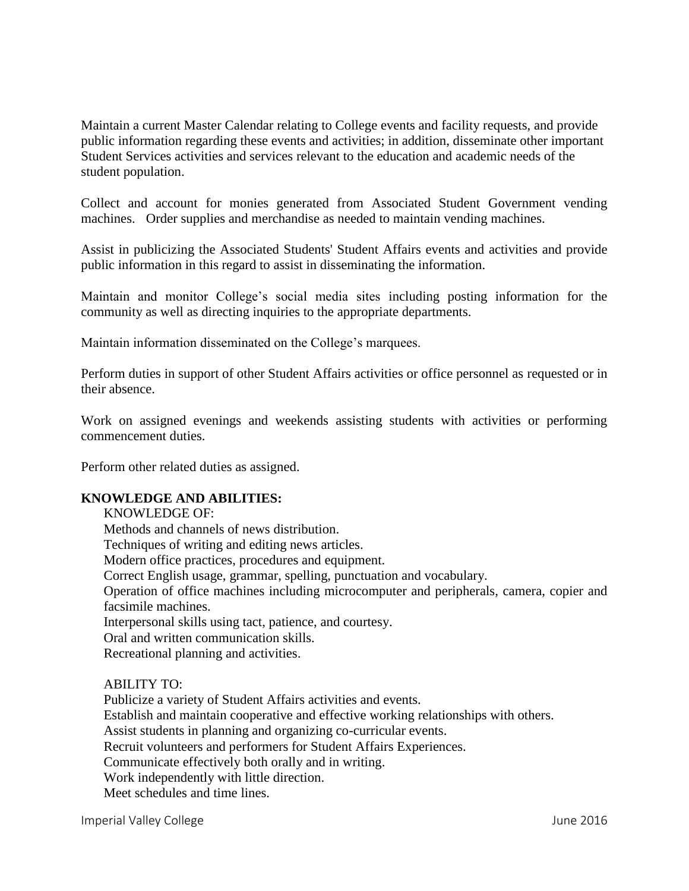Maintain a current Master Calendar relating to College events and facility requests, and provide public information regarding these events and activities; in addition, disseminate other important Student Services activities and services relevant to the education and academic needs of the student population.

Collect and account for monies generated from Associated Student Government vending machines. Order supplies and merchandise as needed to maintain vending machines.

Assist in publicizing the Associated Students' Student Affairs events and activities and provide public information in this regard to assist in disseminating the information.

Maintain and monitor College's social media sites including posting information for the community as well as directing inquiries to the appropriate departments.

Maintain information disseminated on the College's marquees.

Perform duties in support of other Student Affairs activities or office personnel as requested or in their absence.

Work on assigned evenings and weekends assisting students with activities or performing commencement duties.

Perform other related duties as assigned.

# **KNOWLEDGE AND ABILITIES:**

KNOWLEDGE OF: Methods and channels of news distribution. Techniques of writing and editing news articles. Modern office practices, procedures and equipment. Correct English usage, grammar, spelling, punctuation and vocabulary. Operation of office machines including microcomputer and peripherals, camera, copier and facsimile machines. Interpersonal skills using tact, patience, and courtesy. Oral and written communication skills. Recreational planning and activities.

ABILITY TO:

Publicize a variety of Student Affairs activities and events. Establish and maintain cooperative and effective working relationships with others. Assist students in planning and organizing co-curricular events. Recruit volunteers and performers for Student Affairs Experiences. Communicate effectively both orally and in writing. Work independently with little direction. Meet schedules and time lines.